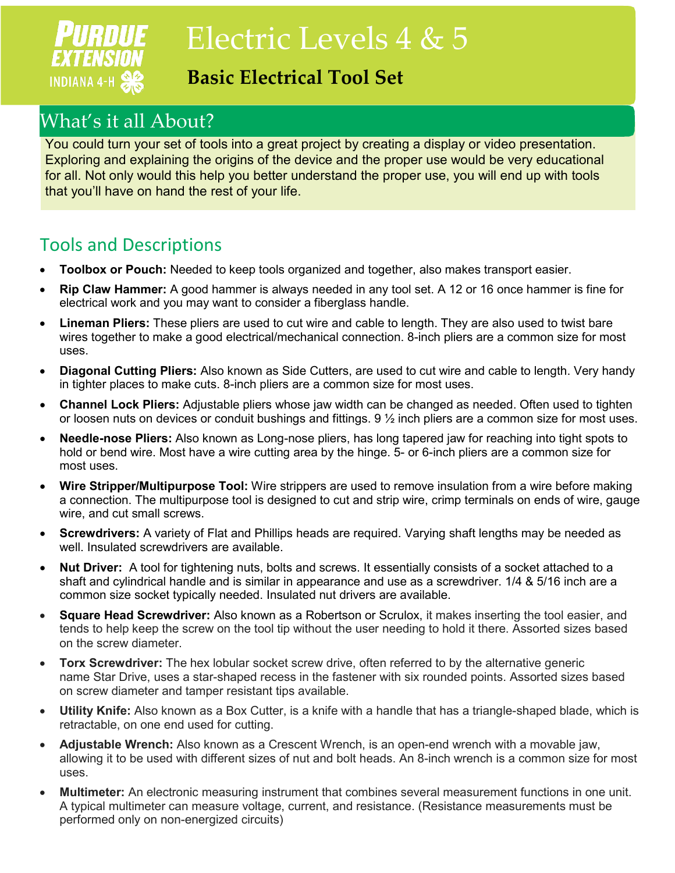## PURDUE **EXTENSION INDIANA 4-H 88**

# Electric Levels 4 & 5

### **Basic Electrical Tool Set**

## What's it all About?

You could turn your set of tools into a great project by creating a display or video presentation. Exploring and explaining the origins of the device and the proper use would be very educational for all. Not only would this help you better understand the proper use, you will end up with tools that you'll have on hand the rest of your life.

#### Tools and Descriptions

- **Toolbox or Pouch:** Needed to keep tools organized and together, also makes transport easier.
- **Rip Claw Hammer:** A good hammer is always needed in any tool set. A 12 or 16 once hammer is fine for electrical work and you may want to consider a fiberglass handle.
- **Lineman Pliers:** These pliers are used to cut wire and cable to length. They are also used to twist bare wires together to make a good electrical/mechanical connection. 8-inch pliers are a common size for most uses.
- **Diagonal Cutting Pliers:** Also known as Side Cutters, are used to cut wire and cable to length. Very handy in tighter places to make cuts. 8-inch pliers are a common size for most uses.
- **Channel Lock Pliers:** Adjustable pliers whose jaw width can be changed as needed. Often used to tighten or loosen nuts on devices or conduit bushings and fittings. 9 ½ inch pliers are a common size for most uses.
- **Needle-nose Pliers:** Also known as Long-nose pliers, has long tapered jaw for reaching into tight spots to hold or bend wire. Most have a wire cutting area by the hinge. 5- or 6-inch pliers are a common size for most uses.
- **Wire Stripper/Multipurpose Tool:** Wire strippers are used to remove insulation from a wire before making a connection. The multipurpose tool is designed to cut and strip wire, crimp terminals on ends of wire, gauge wire, and cut small screws.
- **Screwdrivers:** A variety of Flat and Phillips heads are required. Varying shaft lengths may be needed as well. Insulated screwdrivers are available.
- **Nut Driver:** A tool for tightening nuts, bolts and screws. It essentially consists of a socket attached to a shaft and cylindrical handle and is similar in appearance and use as a screwdriver. 1/4 & 5/16 inch are a common size socket typically needed. Insulated nut drivers are available.
- **Square Head Screwdriver:** Also known as a Robertson or Scrulox, it makes inserting the tool easier, and tends to help keep the screw on the tool tip without the user needing to hold it there. Assorted sizes based on the screw diameter.
- **Torx Screwdriver:** The hex lobular socket screw drive, often referred to by the alternative generic name Star Drive, uses a star-shaped recess in the fastener with six rounded points. Assorted sizes based on screw diameter and tamper resistant tips available.
- **Utility Knife:** Also known as a Box Cutter, is a knife with a handle that has a triangle-shaped blade, which is retractable, on one end used for cutting.
- **Adjustable Wrench:** Also known as a Crescent Wrench, is an open-end wrench with a movable jaw, allowing it to be used with different sizes of nut and bolt heads. An 8-inch wrench is a common size for most uses.
- **Multimeter:** An electronic measuring instrument that combines several measurement functions in one unit. A typical multimeter can measure voltage, current, and resistance. (Resistance measurements must be performed only on non-energized circuits)